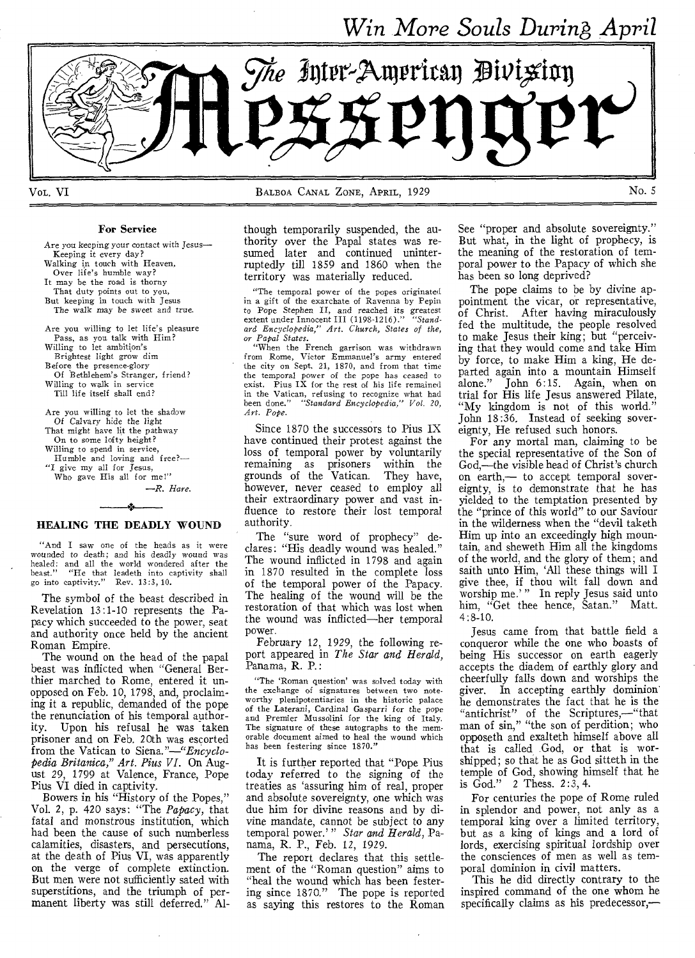*Win More Souls During* April



For Service

Are you keeping your contact with Jesus— Keeping it every day? Walking in touch with Heaven, Over life's humble way? It may be the road is thorny That duty points out to you, But keeping in touch with Jesus The walk *may* be sweet and true. Are you willing to let life's pleasure Pass, as you talk with Him? Willing to let ambition's Brightest light grow dim Before the presence-glory Of Bethlehem's Stranger, friend? Willing to walk in service Till life itself shall end? Are you willing to let the shadow Of Calvary hide the light That might have lit the pathway On to some lofty height? Willing to spend in service, Humble and loving and free?— "I give my all for Jesus, Who gave His all for me!"

*—R. Hare.* 

# - 2 HEALING THE DEADLY WOUND

"And I saw one of the heads as it were wounded to death; and his deadly wound was healed: and all the world wondered after the beast." "He that leadeth into captivity shall go into captivity." Rev. 13:3, 10.

The symbol of the beast described in Revelation 13:1-10 represents the Papacy which succeeded to the power, seat and authority once held by the ancient Roman Empire.

The wound on the head of the papal beast was inflicted when "General Berthier marched to Rome, entered it unopposed on Feb. 10, 1798, and, proclaiming it a republic, demanded of the pope the renunciation of his temporal authority. Upon his refusal he was taken prisoner and on Feb. 20th was escorted from the Vatican to *Siena."—"Encyclopedia Britanica," Art. Pius VI.* On August 29, 1799 at Valence, France, Pope Pius VI died in captivity.

Bowers in his "History of the Popes," Vol. 2, p. 420 says: "The *Papacy,* that fatal and monstrous institution, which had been the cause of such numberless calamities, disasters, and persecutions, at the death of Pius VI, was apparently on the verge of complete extinction. But men were not sufficiently sated with superstitions, and the triumph of permanent liberty was still deferred." Although temporarily suspended, the authority over the Papal states was resumed later and continued uninterruptedly till 1859 and 1860 when the territory was materially reduced.

"The temporal power of the popes originated in a gift of the exarchate of Ravenna by Pepin to Pope Stephen II, and reached *its greatest*  extent under Innocent III (1198-1216)." *"Standard Encyclopedia," Art. Church, States of the,* 

*or Papal States.*  "When the French garrison was withdrawn from Rome, Victor Emmanuel's army entered the city on Sept. 21, 1870, and from that time the temporal power of the pope has ceased to exist. Pius IX for the rest of his life remained in the Vatican, refusing to recognize what had been done." *"Standard Encyclopedia," Vol. 20, Art. Pope.* 

Since 1870 the successors to Pius IX have continued their protest against the loss of temporal power by voluntarily remaining as prisoners within the grounds of the Vatican. They have, grounds of the Vatican. however, never ceased to employ all their extraordinary power and vast influence to restore their lost temporal authority.

The "sure word of prophecy" declares: "His deadly wound was healed." The wound inflicted in 1798 and again in 1870 resulted in the complete loss of the temporal power of the Papacy. The healing of the wound will be the restoration of that which was lost when the wound was inflicted—her temporal power.

February 12, 1929, the following report appeared in *The Star and Herald,*  Panama, R. P.:

"The 'Roman question' was solved today with the exchange of signatures between two noteworthy plenipotentiaries in the historic palace of the Laterani, Cardinal Gasparri *for* the pope and Premier Mussolini for the king of Italy. The signature of these autographs to the memorable document aimed to heal the wound which has been festering since 1870."

It is further reported that "Pope Pius today referred to the signing of the treaties as 'assuring him of real, proper and absolute sovereignty, one which was due him for divine reasons and by divine mandate, cannot be subject to any temporal power.' " *Star and Herald,* Panama, R. P., Feb. 12, 1929.

The report declares that this settlement of the "Roman question" aims to "heal the wound which has been festering since 1870." The pope is reported as saying this restores to the Roman See "proper and absolute sovereignty." But what, in the light of prophecy, is the meaning of the restoration of temporal power to the Papacy of which she has been so long deprived?

The pope claims to be by divine appointment the vicar, or representative, of Christ. After having miraculously fed the multitude, the people resolved to make Jesus their king; but "perceiving that they would come and take Him by force, to make Him a king, He departed again into a mountain Himself<br>alone." John 6:15. Again, when on John 6:15. Again, when on trial for His life Jesus answered Pilate, "My kingdom is not of this world." John 18:36, Instead of seeking sovereignty, He refused such honors.

For any mortal man, claiming to be the special representative of the Son of God,—the visible head of Christ's church on earth,— to accept temporal sovereignty, is to demonstrate that he has yielded to the temptation presented by the "prince of this world" to our Saviour in the wilderness when the "devil taketh Him up into an exceedingly high mountain, and sheweth Him all the kingdoms of the world, and the glory of them; and saith unto Him, 'All these things will I give thee, if thou wilt fall down and worship me.' " In reply Jesus said unto him, "Get thee hence, Satan." Matt. 4:8-10.

Jesus came from that battle field a conqueror while the one who boasts of being His successor on earth eagerly accepts the diadem of earthly glory and cheerfully falls down and worships the giver. In accepting earthly dominion he demonstrates the fact that he is the "antichrist" of the Scriptures,—"that man of sin," "the son of perdition; who opposeth and exalteth himself above all that is called God, or that is worshipped; so that he as God sitteth in the temple of God, showing himself that he is God." 2 Thess. 2:3, 4.

For centuries the pope of Rome ruled in splendor and power, not anly as a temporal king over a limited territory, but as a king of kings and a lord of lords, exercising spiritual lordship over the consciences of men as well as temporal dominion in civil matters.

This he did directly contrary to the inspired command of the one whom he specifically claims as his predecessor,—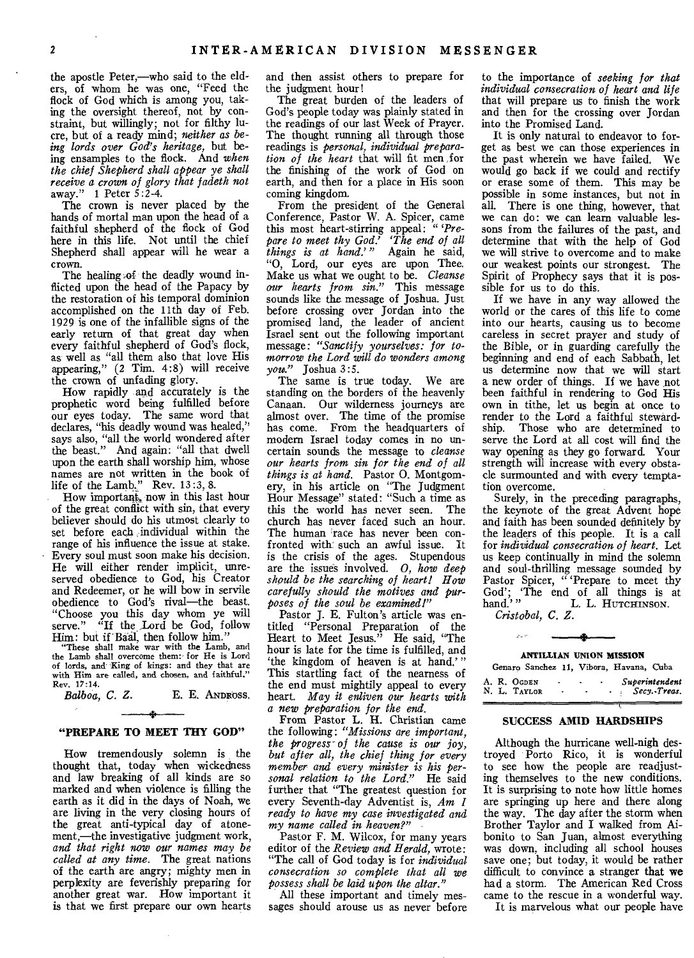the apostle Peter,—who said to the elders, of whom he was one, "Feed the flock of God which is among you, taking the oversight thereof, not by constraint, but willingly; not for filthy lucre, but of a ready mind; *neither as being lords over God's heritage,* but being ensamples to the flock. And *when the chief Shepherd shall appear ye shall receive a crown of glory that fadeth not*  away." 1 Peter 5:2-4.

The crown is never placed by the hands of mortal man upon the head of a faithful shepherd of the flock of God here in this life. Not until the chief Shepherd shall appear will he wear a crown.

The healing of the deadly wound inflicted upon the head of the Papacy by the restoration of his temporal dominion accomplished on the 11th day of Feb. 1929 is one of the infallible signs of the early return of that great day when every faithful shepherd of God's flock, as well as "all them also that love His appearing," (2 Tim. 4:8) will receive the crown of unfading glory.

How rapidly and accurately is the prophetic word being fulfilled before our eyes today. The same word that declares, "his deadly wound was healed," says also, "all the world wondered after the beast." And again: "all that dwell upon the earth shall worship him, whose names are not written in the book of life of the Lamb." Rev. 13*:3,* 8.

How important, now in this last hour of the great conflict with sin, that every believer should do his utmost clearly to set before each ,individual within the range of his influence the issue at stake. Every soul must soon make his decision. He will either render implicit, unreserved obedience to God, his Creator and Redeemer, or he will bow in servile obedience to God's rival—the beast. "Choose you this day whom ye will serve." "If the Lord be God, follow Him: but if Baal, then follow him."

"These shall make war with the Lamb, and the Lamb shall overcome them: for He is Lord of lords, and King of kings: and they that are with Him are called, and chosen, and faithful." Rev. 17:14.<br>Balboa, C. Z.

**E. E. ANDROSS,** 

# **\$ "PREPARE TO MEET THY GOD"**

How tremendously solemn is the thought that, today when wickedness and law breaking of all kinds are so marked and when violence is filling the earth as it did in the days of Noah, we are living in the very closing hours of the great anti-typical day of atonement,—the investigative judgment work, *and that right now our names may be called at any time.* The great nations of the earth are angry; mighty men in perplexity are feverishly preparing for another great war. How important it is that we first prepare our own hearts

and then assist others to prepare for the judgment hour!

The great burden of the leaders of God's people today was plainly stated in the readings of our last Week of Prayer. The thought running all through those readings is *personal, individual preparation of the heart* that will fit men for the finishing of the work of God on earth, and then for a place in His soon coming kingdom.

From the president of the General Conference, Pastor W. A. Spicer, came this most heart-stirring appeal: *"'Prepare to meet thy God.' The end of all things is at hand.'* Again he said, "0, Lord, our eyes are upon Thee. Make us what we ought to be. *Cleanse our hearts from sin."* This message sounds like the message of Joshua. Just before crossing over Jordan into the promised land, the leader of ancient Israel sent out the following important message: *"Sanctify yourselves: for tomorrow the Lord will do wonders among you."* Joshua 3:5.

The same is true today. We are standing on the borders of the heavenly Canaan. Our wilderness journeys are almost over. The time of the promise has come. From the headquarters of modern Israel today comes in no uncertain sounds the message to *cleanse our hearts from sin for the end of all things is at hand.* Pastor 0. Montgomery, in his article on "The Judgment Hour Message" stated: "Such a time as this the world has never seen. The church has never faced such an hour. The human race has never been confronted with such an awful issue. It is the crisis of the ages. Stupendous are the issues involved. *0, how deep should be the searching of heart! How carefully should the motives and purposes of the soul be examined!"* 

Pastor J. E. Fulton's article was entitled "Personal Preparation of the Heart to Meet Jesus." He said, "The hour is late for the time is fulfilled, and 'the kingdom of heaven is at hand.'" This startling fact of the nearness of the end must mightily appeal to every heart. *May it enliven our hearts with a new preparation for the end.* 

From Pastor L. H. Christian came the following: *"Missions are important, the progress- of the cause is our joy, but after oil, the chief thing for every member and every minister is his personal relation to the Lord."* He said further that "The greatest question for every Seventh-day Adventist is, *Am I ready to have my case investigated and my name called in heaven?"* 

Pastor F. M. Wilcox, for many years editor of the *Review and Herald,* wrote: "The call of God today is for *individual consecration so complete that all we possess shall be laid upon the altar."* 

All these important and timely messages should arouse us as never before to the importance of *seeking for that individual consecration of heart and life*  that will prepare us to finish the work and then for the crossing over Jordan into the Promised Land.

It is only natural to endeavor to forget as best we can those experiences in the past wherein we have failed. We would go back if we could and rectify or erase some of them. This may be possible in some instances, but not in all. There is one thing, however, that we can do: we can learn valuable lessons from the failures of the past, and determine that with the help of God we will strive to overcome and to make our weakest points our strongest. The Spirit of Prophecy says that it is possible for us to do this.

If we have in any way allowed the world or the cares of this life to come into our hearts, causing us to become careless in secret prayer and study of the Bible, or in guarding carefully the beginning and end of each Sabbath, let us determine now that we will start a new order of things. If we have not been faithful in rendering to God His own in tithe, let us begin at once to render to the Lord a faithful stewardship. Those who are determined to serve the Lord at all cost will find the way opening as they go forward. Your strength will increase with every obstacle surmounted and with every temptation overcome.

Surely, in the preceding paragraphs, the keynote of the great Advent hope and faith has been sounded definitely by the leaders of this people. It is a call for *individual consecration of heart.* Let us keep continually in mind the solemn and soul-thrilling message sounded by Pastor Spicer, " 'Prepare to meet thy God'; 'The end of all things is at hand.'" L. L. HUTCHINSON.

*Cristobal, C. Z.* 

#### **ANTILLIAN UNION MISSION**

| Superintendent<br>A. R. OGDEN<br>$\overline{\phantom{a}}$<br>٠<br>Secy.Treas.<br>N. L. TAYLOR<br>$\overline{\phantom{a}}$<br>٠ |  |  |  |  | Genaro Sanchez 11, Vibora, Havana, Cuba |  |
|--------------------------------------------------------------------------------------------------------------------------------|--|--|--|--|-----------------------------------------|--|
|                                                                                                                                |  |  |  |  |                                         |  |

#### **SUCCESS AMID HARDSHIPS**

Although the hurricane well-nigh destroyed Porto Rico, it is wonderful to see how the people are readjusting themselves to the new conditions. It is surprising to note how little homes are springing up here and there along the way. The day after the storm when Brother Taylor and I walked from Aibonito to San Juan, almost everything was down, including all school houses save one; but today, it would be rather difficult to convince a stranger that **we**  had a storm. The American Red Cross came to the rescue in a wonderful way.

It is marvelous what our people have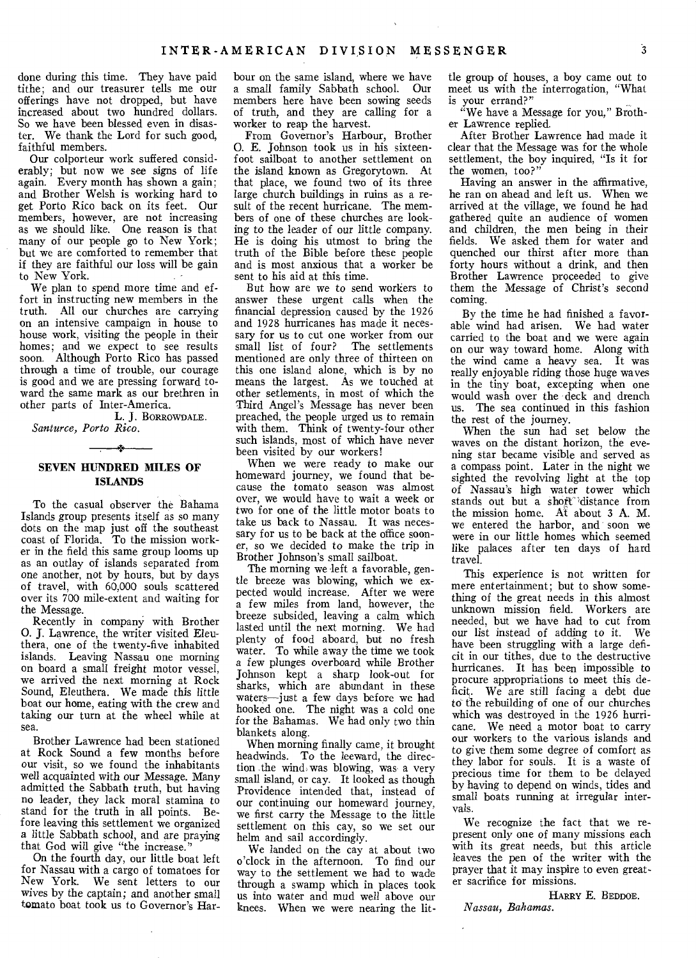done during this time. They have paid tithe; and our treasurer tells me our offerings have not dropped, but have increased about two hundred dollars. So we have been blessed even in disaster. We thank the Lord for such good, faithful members.

Our colporteur work suffered considerably; but now we see signs of life again. Every month has shown a gain; and Brother Welsh is working hard to get Porto Rico back on its feet. Our members, however, are not increasing as we should like. One reason is that many of our people go to New York; but we are comforted to remember that if they are faithful our loss will be gain to New York.

We plan to spend more time and effort in instructing new members in the truth. All our churches are carrying on an intensive campaign in house to house work, visiting the people in their homes; and we expect to see results soon. Although Porto Rico has passed through a time of trouble, our courage is good and we are pressing forward toward the same mark as our brethren in other parts of Inter-America.

L. **J.** BORROWDALE. *Santurce, Porto Rico.*   $\mathbf{A}$ 

# **SEVEN HUNDRED MILES OF ISLANDS**

To the casual observer the Bahama Islands group presents itself as so many dots on the map just off the southeast coast of Florida. To the mission worker in the field this same group looms up as an outlay of islands separated from one another, not by hours, but by days of travel, with 60,000 souls scattered over its 700 mile-extent and waiting for the Message.

Recently in company with Brother 0. J. Lawrence, the writer visited Eleuthera, one of the twenty-five inhabited islands. Leaving Nassau one morning on board a small freight motor vessel, we arrived the next morning at Rock Sound, Eleuthera. We made this little boat our home, eating with the crew and taking our turn at the wheel while at sea.

Brother Lawrence had been stationed at Rock Sound a few months before our visit, so we found the inhabitants well acquainted with our Message. Many admitted the Sabbath truth, but having no leader, they lack moral stamina to stand for the truth in all points. Before leaving this settlement we organized a little Sabbath school, and are praying that God will give "the increase."

On the fourth day, our little boat left for Nassau with a cargo of tomatoes for New York. We sent letters to our wives by the captain; and another small tomato boat took us to Governor's Har-

bour on the same island, where we have a small family Sabbath school. Our members here have been sowing seeds of truth, and they are calling for a worker to reap the harvest.

From Governor's Harbour, Brother **0.** E. Johnson took us in his sixteenfoot sailboat to another settlement on the island known as Gregorytown. At that place, we found two of its three large church buildings in ruins as a result of the recent hurricane. The members of one of these churches are looking to the leader of our little company. He is doing his utmost to bring the truth of the Bible before these people and is most anxious that a worker be sent to his aid at this time.

But how are we to send workers to answer these urgent calls when the financial depression caused by the 1926 and 1928 hurricanes has made it necessary for us to cut one worker from our small list of four? The settlements mentioned are only three of thirteen on this one island alone, which is by no means the largest. As we touched at other setlements, in most of which the Third Angel's Message has never been preached, the people urged us to remain with them. Think of twenty-four other such islands, most of which have never been visited by our workers!

When we were ready to make our homeward journey, we found that because the tomato season was almost over, we would have to wait a week or two for one of the little motor boats to take us back to Nassau. It was necessary for us to be back at the office sooner, so we decided to make the trip in Brother Johnson's small sailboat.

The morning we left a favorable, gentle breeze was blowing, which we expected would increase. After we were a few miles from land, however, the breeze subsided, leaving a calm which lasted until the next morning. We had plenty of food aboard, but no fresh water. To while away the time we took a few plunges overboard while Brother Johnson kept a sharp look-out for sharks, which are abundant in these waters—just a few days before we had hooked one. The night was a cold one for the Bahamas. We had only two thin blankets along.

When morning finally came, it brought headwinds. To the leeward, the direction the wind, was blowing, was a very small island, or cay. It looked as though Providence intended that, instead of our continuing our homeward journey, we first carry the Message to the little settlement on this cay, so we set our helm and sail accordingly.

We landed on the cay at about two o'clock in the afternoon. To find our way to the settlement we had to wade through a swamp which in places took us into water and mud well above our knees. When we were nearing the little group of houses, a boy came out to meet us with the interrogation, "What is your errand?"

"We have a Message for you," Brother Lawrence replied.

After Brother Lawrence had made it clear that the Message was for the whole settlement, the boy inquired, "Is it for the women, too?"

Having an answer in the affirmative, he ran on ahead and left us. When we arrived at the village, we found he had gathered quite an audience of women and children, the men being in their fields. We asked them for water and quenched our thirst after more than forty hours without a drink, and then Brother Lawrence proceeded to give them the Message of Christ's second coming.

By the time he had finished a favorable wind had arisen. We had water carried to the boat and we were again on our way toward home. Along with the wind came a heavy sea. It was really enjoyable riding those huge waves in the tiny boat, excepting when one would wash over the deck and drench us. The sea continued in this fashion the rest of the journey.

When the sun had set below the waves on the distant horizon, the evening star became visible and served as a compass point. Later in the night we sighted the revolving light at the top of Nassau's high water tower which stands out but a short 'distance from the mission home. At about 3 A. M. we entered the harbor, and soon we were in our little homes which seemed like palaces after ten days of hard travel.

This experience is not written for mere entertainment; but to show something of the great needs in this almost unknown mission field. Workers are needed, but we have had to cut from our list instead of adding to it. We have been struggling with a large deficit in our tithes, due to the destructive hurricanes. It has been impossible to procure appropriations to meet this deficit. We are still *facing* a debt due to the rebuilding of one of our churches which was destroyed in the 1926 hurricane. We need a motor boat to carry our workers to the various islands and to give them some degree of comfort as they labor for souls. It is a waste of precious time for them to be delayed by having to depend on winds, tides and small boats running at irregular intervals.

We recognize the fact that we represent only one of many missions each with its great needs, but this article leaves the pen of the writer with the prayer that it may inspire to even greater sacrifice for missions.

HARRY E. BEDDOE. *Nassau, Bahamas.*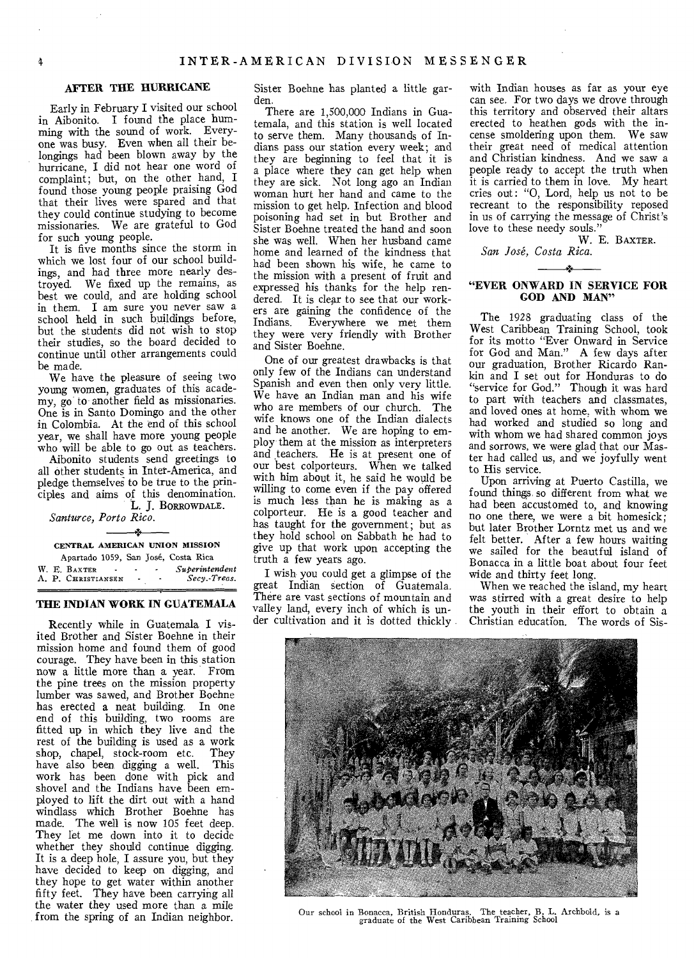#### **AFTER THE HURRICANE**

Early in February I visited our school in Aibonito. I found the place humming with the sound of work. Everyone was busy. Even when all their belongings had been blown away by the hurricane, I did not hear one word of complaint; but, on the other hand, I found those young people praising God that their lives were spared and that they could continue studying to become missionaries. We are grateful to God for such young people.

It is five months since the storm in which we lost four of our school buildings, and had three more nearly destroyed. We fixed up the remains, as best we could, and are holding school in them. I am sure you never saw a school held in such buildings before, but the students did not wish to stop their studies, so the board decided to continue until other arrangements could be made.

We have the pleasure of seeing two young women, graduates of this academy, go to another field as missionaries. One is in Santo Domingo and the other in Colombia. At the end of this school year, we shall have more young people who will be able to go out as teachers.

Aibonito students send greetings to all other students in Inter-America, and pledge themselves to be true to the principles and aims of this denomination. **L. J.** BORROWDALE.

*Santurce, Porto Rico.* 

## CENTRAL AMERICAN UNION MISSION

Apartado 1059, San José, Costa Rica<br>BAXTER Superintendent W. E. BAXTER **- - · Superintendent**<br>A. P. CHRISTIANSEN - · · Secy.-Treas. A. P. CHRISTIANSEN

#### **THE INDIAN WORK IN GUATEMALA**

Recently while in Guatemala I visited Brother and Sister Boehne in their mission home and found them of good courage. They have been in this station now a little more than a year. From the pine trees on the mission property lumber was sawed, and Brother Boehne has erected a neat building. In one end of this building, two rooms are fitted up in which they live and the rest of the building is used as a work shop, chapel, stock-room etc. They have also been digging a well. This work has been done with pick and shovel and the Indians have been employed to lift the dirt out with a hand windlass which Brother Boehne has made. The well is now 105 feet deep. They let me down into it to decide whether they should continue digging. It is a deep hole, I assure you, but they have decided to keep on digging, and they hope to get water within another fifty feet. They have been carrying all the water they used more than a mile **from** the spring of an Indian neighbor.

Sister Boehne has planted a little garden.

There are 1,500,000 Indians in Guatemala, and this station is well located to serve them. Many thousands of Indians pass our station every week; and they are beginning to feel that it is a place where they can get help when they are sick. Not long ago an Indian woman hurt her hand and came to the mission to get help. Infection and blood poisoning had set in but Brother and Sister Boehne treated the hand and soon she was well. When her husband came home and learned of the kindness that had been shown his wife, he came to the mission with a present of fruit and expressed his thanks for the help rendered. It is clear to see that our workers are gaining the confidence of the Indians. Everywhere we met them they were very friendly with Brother and Sister Boehne.

One of our greatest drawbacks is that only few of the Indians can understand Spanish and even then only very little. We have an Indian man and his wife who are members of our church. The wife knows one of the Indian dialects and he another. We are hoping to employ them at the mission as interpreters and teachers. He is at present one of our best colporteurs. When we talked with him about it, he said he would be willing to come even if the pay offered is much less than he is making as a colporteur. He is a good teacher and has taught for the government; but as they hold school on Sabbath he had to give up that work upon accepting the truth a few years ago.

I wish you could get a glimpse of the great Indian section of Guatemala. There are vast sections of mountain and valley land, every inch of which is under cultivation and it is dotted thickly

with Indian houses as far as your eye can see. For two days we drove through this territory and observed their altars erected to heathen gods with the incense smoldering upon them. We saw their great need of medical attention and Christian kindness. And we saw a people ready to accept the truth when it is carried to them in love. My heart cries out: "0, Lord, help us not to be recreant to the responsibility reposed in us of carrying the message of Christ's love to these needy souls."

W. E. BAXTER. *San Jose, Costa Rica.* 

#### **"EVER ONWARD IN SERVICE FOR GOD AND MAN"**

The 1928 graduating class of the West Caribbean Training School, took for its motto "Ever Onward in Service for God and Man." A few days after our graduation, Brother Ricardo Rankin and I set out for Honduras to do "service for God." Though it was hard to part with teachers and classmates, and loved ones at home, with whom we had worked and studied so long and with whom we had shared common joys and sorrows, we were glad that our Master had called us, and we joyfully went to His service.

Upon arriving at Puerto Castilla, we found things, so different from what we had been accustomed to, and knowing no one there, we were a bit homesick; but later Brother Lorntz met us and we felt better. After a few hours waiting we sailed for the beautful island of Bonacca in a little boat about four feet wide and thirty feet long.

When we reached the island, my heart was stirred with a great desire to help the youth in their effort to obtain a Christian education. The words of Sis-



Our school in Bonacca, British Honduras. The teacher, B. L. Archbold, is a graduate of the West Caribbean Training School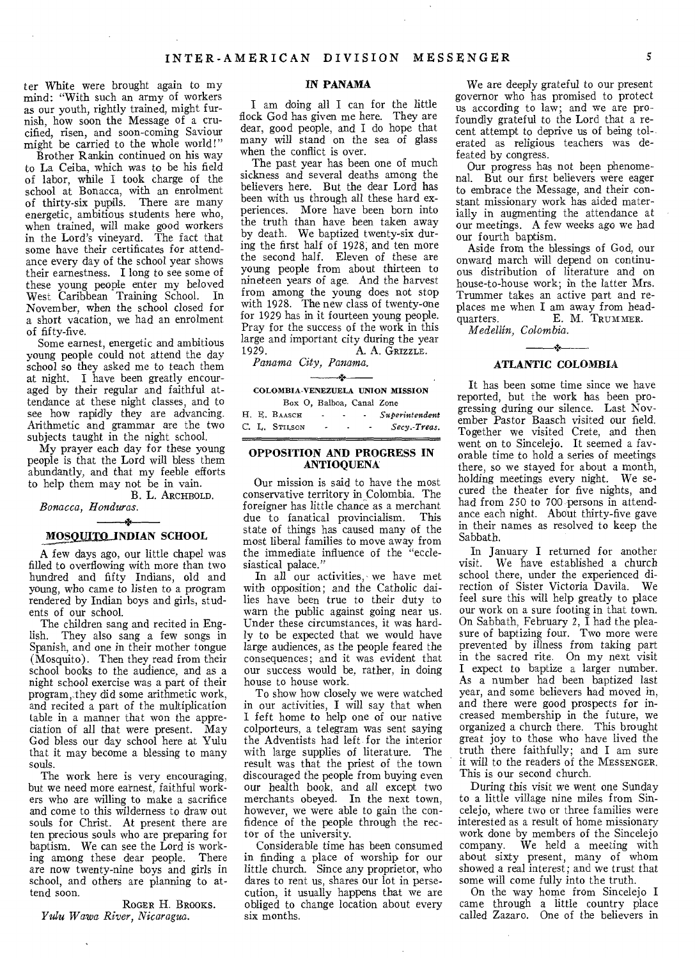ter White were brought again to my mind: "With such an army of workers as our youth, rightly trained, might furnish, how soon the Message of a crucified, risen, and soon-coming Saviour might be carried to the whole world!"

Brother Rankin continued on his way to La Ceiba, which was to be his field of labor, while I took charge of the school at Bonacca, with an enrolment of thirty-six pupils. There are many energetic, ambitious students here who, when trained, will make good workers in the Lord's vineyard. The fact that some have their certificates for attendance every day of the school year shows their earnestness. I long to see some of these young people enter my beloved West Caribbean Training School. In November, when the school closed for a short vacation, we had an enrolment of fifty-five.

Some earnest, energetic and ambitious young people could not attend the day school so they asked me to teach them at night. I have been greatly encouraged by their regular and faithful attendance at these night classes, and to see how rapidly they are advancing. Arithmetic and grammar are the two subjects taught in the night school.

My prayer each day for these young people is that the Lord will bless them abundantly, and that my feeble efforts to help them may not be in vain. B. L. ARCHBOLD.

# *Bonacca, Honduras.*

#### sk. **MOSQUITQ INDIAN SCHOOL**

A few days ago, our little chapel was filled to overflowing with more than two hundred and fifty Indians, old and young, who came to listen to a program rendered by Indian boys and girls, students of our school.

The children sang and recited in English. They also sang a few songs in Spanish, and one in their mother tongue (Mosquito). Then they. read from their school books to the audience, and as a night school exercise was a part of their program, they did some arithmetic work, and recited a part of the multiplication table in a manner that won the appreciation of all that were present. May God bless our day school here at Yulu that it may become a blessing to many souls.

The work here is very encouraging, but we need more earnest, faithful workers who are willing to make a sacrifice and come to this wilderness to draw out souls for Christ. At present there are ten precious souls who are preparing for baptism. We can see the Lord is working among these dear people. There are now twenty-nine boys and girls in school, and others are planning to attend soon.

ROGER H. BROOKS. *Yulu Wawa River, Nicaragua.* 

#### IN PANAMA

I am doing all I can for the little flock God has given me here. They are dear, good people, and I do hope that many will stand on the sea of glass when the conflict is over.

The past year has been one of much sickness and several deaths among the believers here. But the dear Lord has been with us through all these hard experiences. More have been born into the truth than have been taken away by death. We baptized twenty-six during the first half of 1928; and ten more the second half. Eleven of these are young people from about thirteen to nineteen years of age. And the harvest from among the young does not stop with 1928. The new class of twenty-one for 1929 has in it fourteen young people. Pray for the success of the work in this large and important city during the year<br>1929. A. A. GRIZZLE. A. A. GRIZZLE.

*Panama City, Panama.* 

一本

# COLOMBIA-VENEZUELA UNION MISSION

|  | Box O, Balboa, Canal Zone |                        |   |                          |                |
|--|---------------------------|------------------------|---|--------------------------|----------------|
|  | H. E. BAASCH              | <b>Contact Contact</b> |   | <b>Contract Contract</b> | Superintendent |
|  | C. L. STILSON             | ۰                      | ٠ |                          | Secy.-Treas.   |

#### OPPOSITION AND PROGRESS IN ANTIOQUENA

Our mission is said to have the most conservative territory in Colombia. The foreigner has little chance as a merchant due to fanatical provincialism. This state of things has caused many of the most liberal families to move away from the immediate influence of the "ecclesiastical palace."

In all our activities, we have met with opposition; and the Catholic dailies have been true to their duty to warn the public against going near us. Under these circumstances, it was hardly to be expected that we would have large audiences, as the people feared the consequences; and it was evident that our success would be, rather, in doing house to house work.

To show how closely we were watched in our activities, I will say that when 1 feft home to help one of our native colporteurs, a telegram was sent saying the Adventists had left for the interior with large supplies of literature. The result was that the priest of the town discouraged the people from buying even our health book, and all except two merchants obeyed. In the next town, however, we were able to gain the confidence of the people through the rector of the university.

Considerable time has been consumed in finding a place of worship for our little church. Since any proprietor, who dares to rent us, shares our lot in persecution, it usually happens that we are obliged to change location about every six months.

We are deeply grateful to our present governor who has promised to protect us according to law; and we are profoundly grateful to the Lord that a recent attempt to deprive us of being tolerated as religious teachers was defeated by congress.

Our progress has not been phenomenal. But our first believers were eager to embrace the Message, and their constant missionary work has aided materially in augmenting the attendance at our meetings. A few weeks ago we had our fourth baptism.

Aside from the blessings of God, our onward march will depend on continuous distribution of literature and on house-to-house work; in the latter Mrs. Trummer takes an active part and replaces me when I am away from headquarters. E. M. TRUMMER.

*Medellin, Colombia.* 

# للعامل ATLANTIC COLOMBIA

It has been some time since we have reported, but the work has been progressing during our silence. Last November Pastor Baasch visited our field. Together we visited Crete, and then went on to Sincelejo. It seemed a favorable time to hold a series of meetings there, so we stayed for about a month, holding meetings every night. We secured the theater for five nights, and had from 250 to 700 persons in attendance each night. About thirty-five gave in their names as resolved to keep the Sabbath.

In January I returned for another visit. We have established a church school there, under the experienced direction of Sister Victoria Davila. We feel sure this will help greatly to place our work on a sure footing in that town. On Sabbath, February 2, I had the pleasure of baptizing four. Two more were prevented by illness from taking part in the sacred rite. On my next visit I expect to baptize a larger number. As a number had been baptized last year, and some believers had moved in, and there were good prospects for increased membership in the future, we organized a church there. This brought great joy to those who have lived the truth there faithfully; and I am sure it will to the readers of the MESSENGER. This is our second church.

During this visit we went one Sunday to a little village nine miles from Sincelejo, where two or three families were interested as a result of home missionary work done by members of the Sincelejo company. We held a meeting with about sixty present, many of whom showed a real interest; and we trust that some will come fully into the truth.

On the way home from Sincelejo I came through a little country place called Zazaro. One of the believers in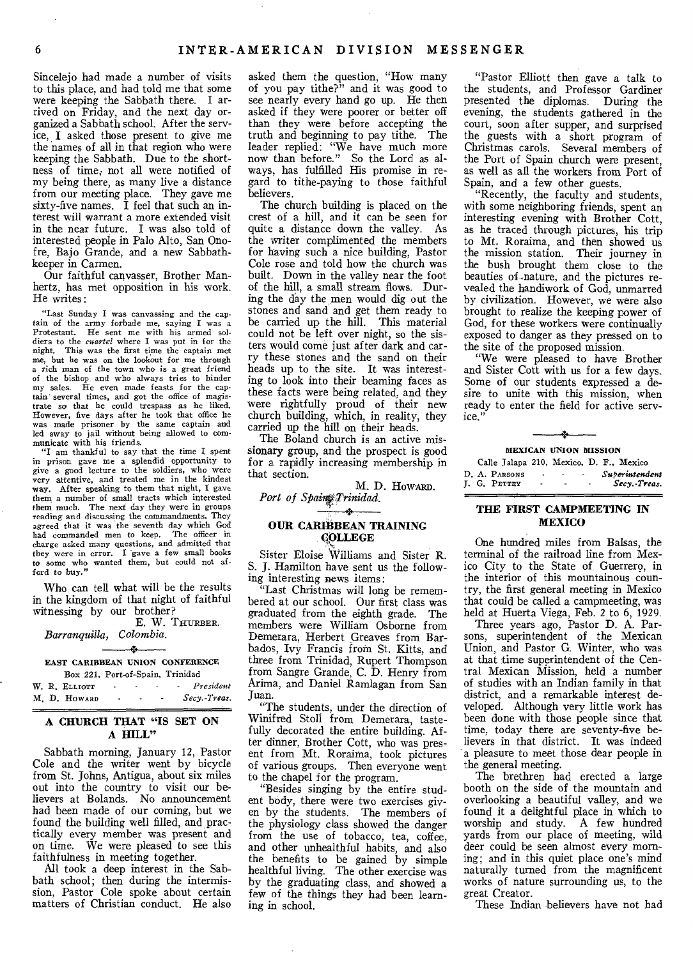Sincelejo had made a number of visits to this place, and had told me that some were keeping the Sabbath there. I arrived on Friday, and the next day organized a Sabbath school. After the service, I asked those present to give me the names of all in that region who were keeping the Sabbath. Due to the shortness of time; not all were notified of my being there, as many live a distance from our meeting place. They gave me sixty-five names. I feel that such an interest will warrant a more extended visit in the near future. I was also told of interested people in Palo Alto, San Onofre, Bajo Grande, and a new Sabbathkeeper in Carmen.

Our faithful canvasser, Brother Manhertz, has met opposition in his work. He writes:

"Last Sunday I was canvassing and the captain of the army forbade me, saying I was a Protestant. He sent me with his armed soldiers to the *cuartel* where I was put in for the night. This was the first time the captain met This was the first time the captain met me, but he was on the lookout for me through a rich man of the town who is a great friend of the bishop and who always tries to hinder my sales. He even made feasts for the captain several times, and got the office of magis-trate so that he could trespass as he liked. However, five days after he took that office he was made prisoner by the same captain and led away to jail without being allowed to com-

municate with his friends. "I am thankful to say that the time I spent in prison gave me a splendid opportunity to give a good lecture to the soldiers, who were very attentive, and treated me in the kindest way. After speaking to them that night, I gave them, a number of small tracts which interested them much. The next day they were in groups reading and discussing the commandments. They agreed that it was the seventh day which God had commanded men to keep. The officer in charge asked many questions, and admitted that they were in error. I gave a few small books to some who wanted them, but could not afford to buy."

Who can tell what will be the results in the kingdom of that night of faithful witnessing by our brother?

E. W. THURBER. *Barranquilla, Colombia.* 

### يعجد EAST CARIBBEAN UNION CONFERENCE

Box 221, Port-of-Spain, Trinidad<br>ELLIOTT President W. R. ELLIOTT **- - - President** M. D. HOWARD - - - Secy.-Treas. M. D. HOWARD - - *Secy.-Treas.* 

#### A CHURCH THAT "IS SET ON A **HILL"**

Sabbath morning, January 12, Pastor Cole and the writer went by bicycle from St. Johns, Antigua, about six miles out into the country to visit our believers at Bolands. No announcement had been made of our coming, but we found the building well filled, and practically every member was present and on time. We were pleased to see this faithfulness in meeting together.

All took a deep interest in the Sabbath school; then during the intermission, Pastor Cole spoke about certain matters of Christian conduct. He also

asked them the question, "How many of you pay tithe?" and it was good to see nearly every hand go up. He then asked if they were poorer or better off than they were before accepting the truth and beginning to pay tithe. The truth and beginning to pay tithe. leader replied: "We have much more now than before." So the Lord as always, has fulfilled His promise in regard to tithe-paying to those faithful believers.

The church building is placed on the crest of a hill, and it can be seen for quite a distance down the valley. As the writer complimented the members for having such a nice building, Pastor Cole rose and told how the church was built. Down in the valley near the foot of the hill, a small stream flows. During the day the men would dig out the stones and sand and get them ready to be carried up the hill. This material could not be left over night, so the sisters would come just after dark and carry these stones and the sand on their heads up to the site. It was interesting to look into their beaming faces as these facts were being related, and they were rightfully proud of their new church building, which, in reality, they carried up the hill on their heads.

The Boland church is an active missionary group, and the prospect is good for a rapidly increasing membership in that section.

M. D. Howard. Port of Spain Trinidad.

#### جياد OUR CARIBBEAN TRAINING COLLEGE

Sister Eloise Williams and Sister R. S. J. Hamilton have sent us the following interesting news items:

"Last Christmas will long be remembered at our school. Our first class was graduated from the eighth grade. The members were William Osborne from Demerara, Herbert Greaves from Barbados, Ivy Francis from St. Kitts, and three from Trinidad, Rupert Thompson from Sangre Grande, C. D. Henry from Arima, and Daniel Ramlagan from San Juan.

"The students, under the direction of Winifred Stoll from Demerara, tastefully decorated the entire building. After dinner, Brother Cott, who was present from Mt. Roraima, took pictures of various groups. Then everyone went to the chapel for the program.

"Besides singing by the entire student body, there were two exercises given by the students. The members of the physiology class showed the danger from the use of tobacco, tea, coffee, and other unhealthful habits, and also the benefits to be gained by simple healthful living. The other exercise was by the graduating class, and showed a few of the things they had been learning in school.

"Pastor Elliott then gave a talk to the students, and Professor Gardiner presented the diplomas. During the evening, the students gathered in the court, soon after supper, and surprised the guests with a short program of Christmas carols. Several members of the Port of Spain church were present, as well as all the workers from Port of Spain, and a few other guests.

"Recently, the faculty and students, with some neighboring friends, spent an interesting evening with Brother Cott, as he traced through pictures, his trip to Mt. Roraima, and then showed us the mission station. Their journey in the bush brought them close to the beauties of..nature, and the pictures revealed the handiwork of God, unmarred by civilization. However, we were also brought to realize the keeping power of God, for these workers were continually exposed to danger as they pressed on to the site of the proposed mission.

"We were pleased to have Brother and Sister Cott with us for a few days. Some of our students expressed a desire to unite with this mission, when ready to enter the field for active service."

# MEXICAN UNION MISSION Calle Jalapa 210, Mexico, D. F., Mexico

|  | D. A. PARSONS |  | Superintendent |
|--|---------------|--|----------------|
|  | I. G. PETTEY  |  | Secy. Treas.   |
|  |               |  |                |

#### THE FIRST CAMPMEETING IN **MEXICO**

One hundred miles from Balsas, the terminal of the railroad line from Mexico City to the State of. Guerrero, in the interior of this mountainous country, the first general meeting in Mexico that could be called a campmeeting, was held at Huerta Viega, Feb. 2 to 6, 1929.

Three years ago, Pastor D. A. Parsons, superintendent of the Mexican Union, and Pastor G. Winter, who was at that time superintendent of the Central Mexican Mission, held a number of studies with an Indian family in that district, and a remarkable interest developed. Although very little work has been done with those people since that time, today there are seventy-five believers in that district. It was indeed a pleasure to meet those dear people in the general meeting.

The brethren had erected a large booth on the side of the mountain and overlooking a beautiful valley, and we found it a delightful place in which to worship and study. A few hundred yards from our place of meeting, wild deer could be seen almost every morning; and in this quiet place one's mind naturally turned from the magnificent works of nature surrounding us, to the great Creator.

These Indian believers have not had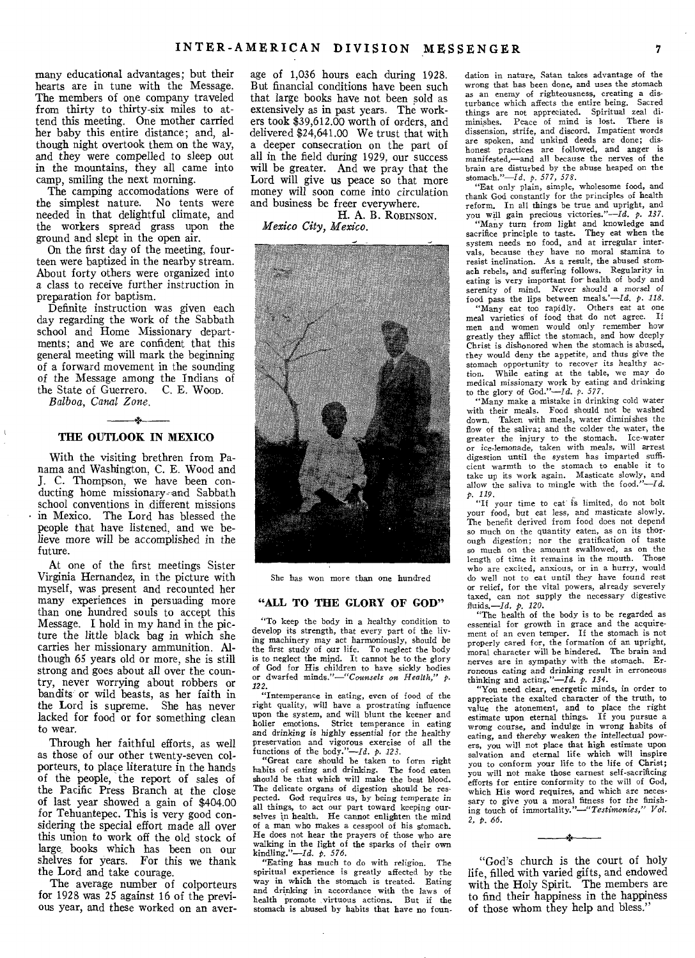many educational advantages; but their hearts are in tune with the Message. The members of one company traveled from thirty to thirty-six miles to attend this meeting. One mother carried her baby this entire distance; and, although night overtook them on the way, and they were compelled to sleep out in the mountains, they all came into camp, smiling the next morning.

The camping accomodations were of the simplest nature. No tents were needed in that delightful climate, and the workers spread grass upon the ground and slept in the open air.

On the first day of the meeting, fourteen were baptized in the nearby stream. About forty others were organized into a class to receive further instruction in preparation for baptism.

Definite instruction was given each day regarding the work of the Sabbath school and Home Missionary departments; and we are confident that this general meeting will mark the beginning of a forward movement in the sounding of the Message among the Indians of<br>the State of Guerrero. C. E. Woop. the State of Guerrero. *Balboa, Canal Zone.* 

# $\rightarrow$ **THE OUTLOOK IN MEXICO**

With the visiting brethren from Panama and Washington, C. E. Wood and **J.** C. Thompson, we have been conducting home missionary-and Sabbath school conventions in different missions in Mexico. The Lord has blessed the people that have listened, and we believe more will be accomplished in the future.

At one of the first meetings Sister Virginia Hernandez, in the picture with myself, was present and recounted her many experiences in persuading more than one hundred souls to accept this Message. I hold in my hand in the picture the little black bag in which she carries her missionary ammunition. Although 65 years old or more, she is still strong and goes about all over the country, never worrying about robbers or bandits or wild beasts, as her faith in the Lord is supreme. She has never lacked for food or for something clean to wear.

Through her faithful efforts, as well as those of our other twenty-seven colporteurs, to place literature in the hands of the people, the report of sales of the Pacific Press Branch at the close of last year showed a gain of \$404.00 for Tehuantepec. This is very good considering the special effort made all over this union to work off the old stock of large books which has been on our shelves for years. For this we thank the Lord and take courage.

The average number of colporteurs for 1928 was 25 against 16 of the previous year, and these worked on an average of 1,036 hours each during 1928. But financial conditions have been such that large books have not been sold as extensively as in past years. The workers took \$39,612.00 worth of orders, and delivered \$24,641.00 We trust that with a deeper consecration on the part of all in the field during 1929, our success will be greater. And we pray that the Lord will give us peace so that more money will soon come into circulation and business be freer everywhere.

**H.** A. B. ROBINSON. *Mexico City, Mexico.* 



She has won more than one hundred

#### **"ALL TO THE GLORY OF GOD"**

"To keep the body in a healthy condition to develop its strength, that every part of the living machinery may act harmoniously, should be the first study of our life. To neglect the body is to neglect the mind. It cannot be to the glory of God for His children to have sickly bodies or dwarfed minds."-"Counsels on Health,"

*122.*  "Intemperance in eating, even of food of the right quality, will have a prostrating influence upon the system, and will blunt the keener and holier emotions. Strict temperance in eating holier emotions. Strict temperance in eating and *drinking is highly essential* for the healthy preservation and vigorous exercise of all the functions of the body."—Id. *p. 123.* 

"Great care should be taken to form right habits of eating and drinking. The food eaten should be that which will make the best blood. The delicate organs of digestion should be respected. God requires us, by being temperate in all things, to act our part toward keeping our-<br>selves in health. He cannot enlighten the mind of a man who makes a cesspool of his stomach. He does not hear the prayers of those who are walking in the light of the sparks of their own kindling."—Id. *p. 576.* 

"Eating has much to do with religion. The spiritual experience is greatly affected by the way in which the stomach is treated. Eating way in which the stomach is treated. and drinking in accordance with the laws of<br>health promote virtuous actions. But if the health promote virtuous actions. stomach is abused *by* habits that have no foundation in nature, Satan takes advantage of the wrong that has been done, and uses the stomach as an enemy of righteousness, creating a dis-<br>turbance which affects the entire being. Sacred turbance which affects the entire being. things are not appreciated. Spiritual zeal diminishes. Peace of mind is lost. There is dissension, strife, and discord. Impatient words are spoken, and unkind deeds are done; dishonest practices are followed, and anger is manifested,—and all because the nerves of the brain are disturbed by the abuse heaped on the stomach."—Id, p. 577, *578.* 

"Eat only plain, simple, wholesome food, and thank God constantly for the principles of health reform. In all things be true and upright, and you will gain precious victories."—Id. *p. 137.* 

*"Many* turn from light and knowledge and sacrifice principle to taste. They eat when the system needs no food, and at irregular intervals, because they have no moral stamina to resist inclination. As a result, the abused stomach rebels, and suffering follows. Regularity in eating is very important for health of body and serenity of mind. Never should a morsel of food pass the lips between meals.'—Id. p. *118.* 

"Many eat too rapidly. Others eat at one meal varieties of food that do not agree. If men and women would only remember how greatly they afflict the stomach, and how deeply Christ is dishonored when the stomach is abused, they would deny the appetite, and thus give the stomach opportunity to recover its healthy ac-<br>tion. While eating at the table, we may do While eating at the table, we may do medical missionary work by eating and drinking<br>to the glory of God."—*Id. p. 577.*<br>"Many make a mistake in drinking cold water"

with their meals. Food should not be washed down, Taken with meals, water diminishes the flow of the saliva; and the colder the water, the greater the injury to the stomach. Ice-water or ice-lemonade, taken with meals, will arrest digestion until the system has imparted sufficient warmth to the stomach to enable it to take up its work again. Masticate slowly, and allow the saliva to mingle with the food."—Id.

*p. 119.*  "If your time to eat is limited, do not bolt your food, but eat less, and masticate slowly. The benefit derived from food does not depend so much on the quantity eaten, as on its thorough digestion; nor the gratification of taste so much on the amount swallowed, as on the length of time it remains in the mouth. Those who are excited, anxious, or in a hurry, would do well not to eat until they have found rest or relief, for the vital powers, already severely taxed, can not supply the necessary digestive fluids.—Id. *p. 120.* 

"The health of the body is to be regarded as essential for growth in grace and the acquirement of an even temper. If the stomach is not properly cared for, the formation of an upright, moral character will be hindered. The brain and nerves are in sympathy with the stomach. Erroneous *eating* and drinking result in erroneous thinking and acting."—/d. p. *134.* 

"You need clear, energetic minds, in order to appreciate the exalted character of the truth, to value the atonement, and to place the right sestimate upon eternal things. If you pursue a wrong course, and indulge in wrong habits of eating, and thereby weaken the intellectual powers, you will not place that high estimate upon salvation and eternal life which will inspire you to conform your life to the life of Christ; you will not make those earnest self-sacrificing efforts for entire conformity to the will of God, which His word requires, and which are necessary to give you a moral fitness for the finishing touch of *immortality."—"Testimonies," Vol. 2, p. 66.* 

"God's church is the court of holy life, filled with varied gifts, and endowed with the Holy Spirit. The members are to find their happiness in the happiness of those whom they help and bless."

÷